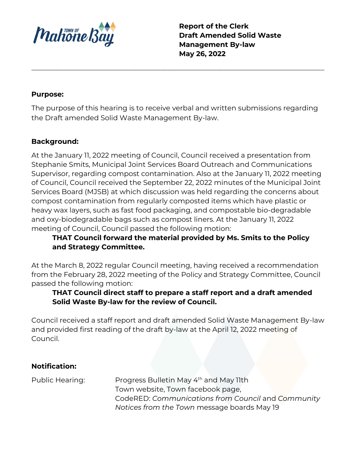

**Report of the Clerk Draft Amended Solid Waste Management By-law May 26, 2022**

## **Purpose:**

The purpose of this hearing is to receive verbal and written submissions regarding the Draft amended Solid Waste Management By-law.

\_\_\_\_\_\_\_\_\_\_\_\_\_\_\_\_\_\_\_\_\_\_\_\_\_\_\_\_\_\_\_\_\_\_\_\_\_\_\_\_\_\_\_\_\_\_\_\_\_\_\_\_\_\_\_\_\_\_\_\_\_\_\_\_\_\_\_\_\_\_\_\_\_\_\_\_\_\_\_\_\_\_\_\_

## **Background:**

At the January 11, 2022 meeting of Council, Council received a presentation from Stephanie Smits, Municipal Joint Services Board Outreach and Communications Supervisor, regarding compost contamination. Also at the January 11, 2022 meeting of Council, Council received the September 22, 2022 minutes of the Municipal Joint Services Board (MJSB) at which discussion was held regarding the concerns about compost contamination from regularly composted items which have plastic or heavy wax layers, such as fast food packaging, and compostable bio-degradable and oxy-biodegradable bags such as compost liners. At the January 11, 2022 meeting of Council, Council passed the following motion:

# **THAT Council forward the material provided by Ms. Smits to the Policy and Strategy Committee.**

At the March 8, 2022 regular Council meeting, having received a recommendation from the February 28, 2022 meeting of the Policy and Strategy Committee, Council passed the following motion:

# **THAT Council direct staff to prepare a staff report and a draft amended Solid Waste By-law for the review of Council.**

Council received a staff report and draft amended Solid Waste Management By-law and provided first reading of the draft by-law at the April 12, 2022 meeting of Council.

## **Notification:**

Public Hearing: Progress Bulletin May 4<sup>th</sup> and May 11th Town website, Town facebook page, CodeRED: *Communications from Council* and *Community Notices from the Town* message boards May 19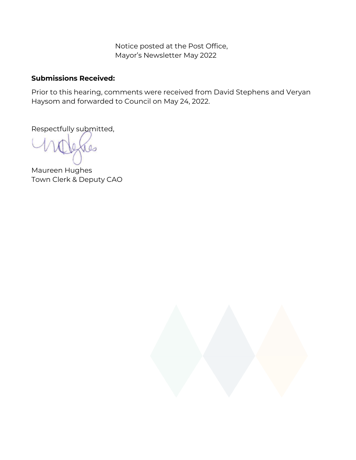Notice posted at the Post Office, Mayor's Newsletter May 2022

## **Submissions Received:**

Prior to this hearing, comments were received from David Stephens and Veryan Haysom and forwarded to Council on May 24, 2022.

Respectfully submitted,

 $\infty$ 

Maureen Hughes Town Clerk & Deputy CAO

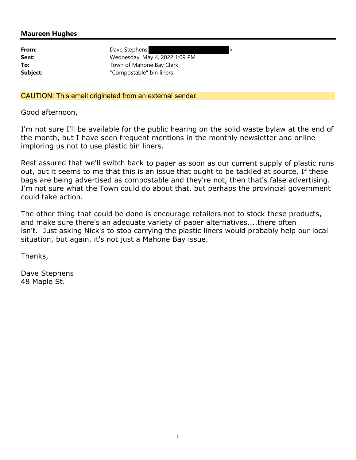#### Maureen Hughes

| From:    |
|----------|
| Sent:    |
| To:      |
| Subject: |

Dave Stephens Wednesday, May 4, 2022 1:09 PM Town of Mahone Bay Clerk "Compostable" bin liners

CAUTION: This email originated from an external sender.

Good afternoon,

I'm not sure I'll be available for the public hearing on the solid waste bylaw at the end of the month, but I have seen frequent mentions in the monthly newsletter and online imploring us not to use plastic bin liners.

Rest assured that we'll switch back to paper as soon as our current supply of plastic runs out, but it seems to me that this is an issue that ought to be tackled at source. If these bags are being advertised as compostable and they're not, then that's false advertising. I'm not sure what the Town could do about that, but perhaps the provincial government could take action.

The other thing that could be done is encourage retailers not to stock these products, and make sure there's an adequate variety of paper alternatives....there often isn't. Just asking Nick's to stop carrying the plastic liners would probably help our local situation, but again, it's not just a Mahone Bay issue.

Thanks,

Dave Stephens 48 Maple St.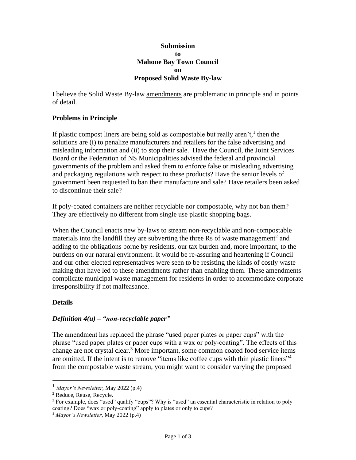#### **Submission to Mahone Bay Town Council on Proposed Solid Waste By-law**

I believe the Solid Waste By-law amendments are problematic in principle and in points of detail.

### **Problems in Principle**

If plastic compost liners are being sold as compostable but really aren't,<sup>1</sup> then the solutions are (i) to penalize manufacturers and retailers for the false advertising and misleading information and (ii) to stop their sale. Have the Council, the Joint Services Board or the Federation of NS Municipalities advised the federal and provincial governments of the problem and asked them to enforce false or misleading advertising and packaging regulations with respect to these products? Have the senior levels of government been requested to ban their manufacture and sale? Have retailers been asked to discontinue their sale?

If poly-coated containers are neither recyclable nor compostable, why not ban them? They are effectively no different from single use plastic shopping bags.

When the Council enacts new by-laws to stream non-recyclable and non-compostable materials into the landfill they are subverting the three Rs of waste management<sup>2</sup> and adding to the obligations borne by residents, our tax burden and, more important, to the burdens on our natural environment. It would be re-assuring and heartening if Council and our other elected representatives were seen to be resisting the kinds of costly waste making that have led to these amendments rather than enabling them. These amendments complicate municipal waste management for residents in order to accommodate corporate irresponsibility if not malfeasance.

### **Details**

### *Definition 4(u) – "non-recyclable paper"*

The amendment has replaced the phrase "used paper plates or paper cups" with the phrase "used paper plates or paper cups with a wax or poly-coating". The effects of this change are not crystal clear.<sup>3</sup> More important, some common coated food service items are omitted. If the intent is to remove "items like coffee cups with thin plastic liners"<sup>4</sup> from the compostable waste stream, you might want to consider varying the proposed

<sup>1</sup> *Mayor's Newsletter*, May 2022 (p.4)

<sup>&</sup>lt;sup>2</sup> Reduce, Reuse, Recycle.

 $3$  For example, does "used" qualify "cups"? Why is "used" an essential characteristic in relation to poly coating? Does "wax or poly-coating" apply to plates or only to cups?

<sup>4</sup> *Mayor's Newsletter*, May 2022 (p.4)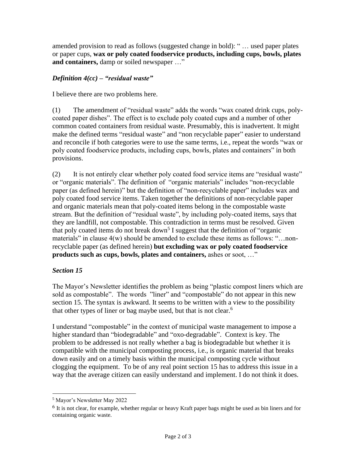amended provision to read as follows (suggested change in bold): " … used paper plates or paper cups, **wax or poly coated foodservice products, including cups, bowls, plates and containers,** damp or soiled newspaper …"

### *Definition 4(cc) – "residual waste"*

I believe there are two problems here.

(1) The amendment of "residual waste" adds the words "wax coated drink cups, polycoated paper dishes". The effect is to exclude poly coated cups and a number of other common coated containers from residual waste. Presumably, this is inadvertent. It might make the defined terms "residual waste" and "non recyclable paper" easier to understand and reconcile if both categories were to use the same terms, i.e., repeat the words "wax or poly coated foodservice products, including cups, bowls, plates and containers" in both provisions.

(2) It is not entirely clear whether poly coated food service items are "residual waste" or "organic materials". The definition of "organic materials" includes "non-recyclable paper (as defined herein)" but the definition of "non-recyclable paper" includes wax and poly coated food service items. Taken together the definitions of non-recyclable paper and organic materials mean that poly-coated items belong in the compostable waste stream. But the definition of "residual waste", by including poly-coated items, says that they are landfill, not compostable. This contradiction in terms must be resolved. Given that poly coated items do not break down<sup>5</sup> I suggest that the definition of "organic materials" in clause 4(w) should be amended to exclude these items as follows: "...nonrecyclable paper (as defined herein) **but excluding wax or poly coated foodservice products such as cups, bowls, plates and containers,** ashes or soot, …"

### *Section 15*

The Mayor's Newsletter identifies the problem as being "plastic compost liners which are sold as compostable". The words "liner" and "compostable" do not appear in this new section 15. The syntax is awkward. It seems to be written with a view to the possibility that other types of liner or bag maybe used, but that is not clear.<sup>6</sup>

I understand "compostable" in the context of municipal waste management to impose a higher standard than "biodegradable" and "oxo-degradable". Context is key. The problem to be addressed is not really whether a bag is biodegradable but whether it is compatible with the municipal composting process, i.e., is organic material that breaks down easily and on a timely basis within the municipal composting cycle without clogging the equipment. To be of any real point section 15 has to address this issue in a way that the average citizen can easily understand and implement. I do not think it does.

<sup>5</sup> Mayor's Newsletter May 2022

<sup>6</sup> It is not clear, for example, whether regular or heavy Kraft paper bags might be used as bin liners and for containing organic waste.